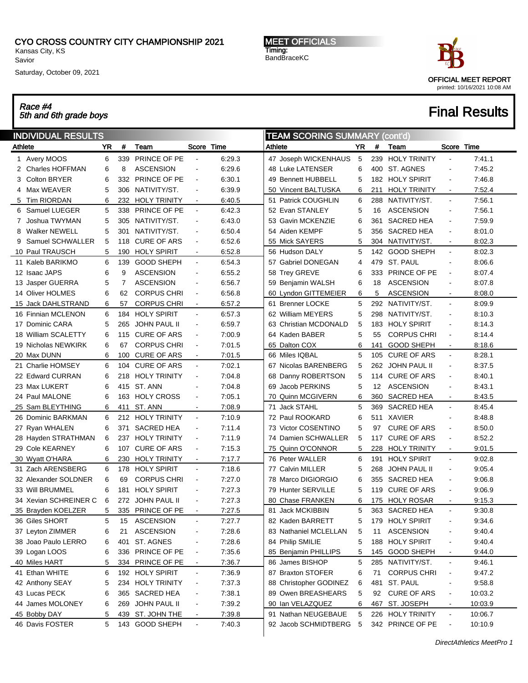CYO CROSS COUNTRY CITY CHAMPIONSHIP 2021

Kansas City, KS Savior

Race #4

Saturday, October 09, 2021

MEET OFFICIALS Timing: BandBraceKC



# $\frac{1}{5}$  Final Results and 6th grade boys  $\frac{1}{5}$  for a set of  $\frac{1}{5}$  for an  $\frac{1}{5}$  for an  $\frac{1}{5}$  for  $\frac{1}{5}$   $\frac{1}{5}$  for  $\frac{1}{5}$   $\frac{1}{5}$   $\frac{1}{5}$   $\frac{1}{5}$   $\frac{1}{5}$   $\frac{1}{5}$   $\frac{1}{5}$   $\frac{1}{5}$   $\frac$

#### INDIVIDUAL RESULTS Athlete **YR** # Team Score Time 1 Avery MOOS 6 339 PRINCE OF PE - 6:29.3 2 Charles HOFFMAN 6 8 ASCENSION - 6:29.6 3 Colton BRYER 6 332 PRINCE OF PE - 6:30.1 4 Max WEAVER 5 306 NATIVITY/ST. - 6:39.9 5 Tim RIORDAN 6 232 HOLY TRINITY - 6:40.5 6 Samuel LUEGER 5 338 PRINCE OF PE - 6:42.3 7 Joshua TWYMAN 5 305 NATIVITY/ST. - 6:43.0 8 Walker NEWELL 5 301 NATIVITY/ST. - 6:50.4 9 Samuel SCHWALLER 5 118 CURE OF ARS - 6:52.6 10 Paul TRAUSCH 5 190 HOLY SPIRIT - 6:52.8 11 Kaleb BARIKMO 6 139 GOOD SHEPH - 6:54.3 12 Isaac JAPS 6 9 ASCENSION - 6:55.2 13 Jasper GUERRA 5 7 ASCENSION - 6:56.7 14 Oliver HOLMES 6 62 CORPUS CHRI - 6:56.8 15 Jack DAHLSTRAND 6 57 CORPUS CHRI - 6:57.2 16 Finnian MCLENON 6 184 HOLY SPIRIT - 6:57.3 17 Dominic CARA 5 265 JOHN PAUL II - 6:59.7 18 William SCALETTY 6 115 CURE OF ARS - 7:00.9 19 Nicholas NEWKIRK 6 67 CORPUS CHRI - 7:01.5 20 Max DUNN 6 100 CURE OF ARS - 7:01.5 21 Charlie HOMSEY 6 104 CURE OF ARS - 7:02.1 22 Edward CURRAN 6 218 HOLY TRINITY - 7:04.8 23 Max LUKERT 6 415 ST. ANN - 7:04.8 24 Paul MALONE 6 163 HOLY CROSS - 7:05.1 25 Sam BLEYTHING 6 411 ST. ANN - 7:08.9 26 Dominic BARKMAN 6 212 HOLY TRINITY - 7:10.9 27 Ryan WHALEN 6 371 SACRED HEA - 7:11.4 28 Hayden STRATHMAN 6 237 HOLY TRINITY - 7:11.9 29 Cole KEARNEY 6 107 CURE OF ARS - 7:15.3 30 Wyatt O'HARA 6 230 HOLY TRINITY - 7:17.7 31 Zach ARENSBERG 6 178 HOLY SPIRIT - 7:18.6 32 Alexander SOLDNER 6 69 CORPUS CHRI - 7:27.0 33 Will BRUMMEL 6 181 HOLY SPIRIT - 7:27.3 34 Xevian SCHREINER C 6 272 JOHN PAUL II - 7:27.3 35 Brayden KOELZER 5 335 PRINCE OF PE - 7:27.5 36 Giles SHORT 5 15 ASCENSION - 7:27.7 37 Leyton ZIMMER 6 21 ASCENSION - 7:28.6 38 Joao Paulo LERRO 6 401 ST. AGNES - 7:28.6 39 Logan LOOS 6 336 PRINCE OF PE - 7:35.6 40 Miles HART 5 334 PRINCE OF PE - 7:36.7 41 Ethan WHITE 6 192 HOLY SPIRIT - 7:36.9 42 Anthony SEAY 5 234 HOLY TRINITY - 7:37.3 43 Lucas PECK 6 365 SACRED HEA - 7:38.1 44 James MOLONEY 6 269 JOHN PAUL II - 7:39.2 45 Bobby DAY 5 439 ST. JOHN THE - 7:39.8 46 Davis FOSTER 5 143 GOOD SHEPH - 7:40.3 TEAM SCORING SUMMARY (cont'd) Athlete **The YR** # Team Score Time 47 Joseph WICKENHAUS 5 239 HOLY TRINITY - 7:41.1 48 Luke LATENSER 6 400 ST. AGNES - 7:45.2 49 Bennett HUBBELL 5 182 HOLY SPIRIT - 7:46.8 50 Vincent BALTUSKA 6 211 HOLY TRINITY - 7:52.4 51 Patrick COUGHLIN 6 288 NATIVITY/ST. - 7:56.1 52 Evan STANLEY 5 16 ASCENSION - 7:56.1 53 Gavin MCKENZIE 6 361 SACRED HEA - 7:59.9 54 Aiden KEMPF 5 356 SACRED HEA - 8:01.0 55 Mick SAYERS 5 304 NATIVITY/ST. - 8:02.3 56 Hudson DALY 5 142 GOOD SHEPH - 8:02.3 57 Gabriel DONEGAN 4 479 ST. PAUL - 8:06.6 58 Trey GREVE 6 333 PRINCE OF PE - 8:07.4 59 Benjamin WALSH 6 18 ASCENSION - 8:07.8 60 Lyndon GITTEMEIER 6 5 ASCENSION - 8:08.0 61 Brenner LOCKE 5 292 NATIVITY/ST. - 8:09.9 62 William MEYERS 5 298 NATIVITY/ST. - 8:10.3 63 Christian MCDONALD 5 183 HOLY SPIRIT - 8:14.3 64 Kaden BABER 5 55 CORPUS CHRI - 8:14.4 65 Dalton COX 6 141 GOOD SHEPH - 8:18.6 66 Miles IQBAL 5 105 CURE OF ARS - 8:28.1 67 Nicolas BARENBERG 5 262 JOHN PAUL II - 8:37.5 68 Danny ROBERTSON 5 114 CURE OF ARS - 8:40.1 69 Jacob PERKINS 5 12 ASCENSION - 8:43.1 70 Quinn MCGIVERN 6 360 SACRED HEA - 8:43.5 71 Jack STAHL 5 369 SACRED HEA - 8:45.4 72 Paul ROOKARD 6 511 XAVIER - 8:48.8 73 Victor COSENTINO 5 97 CURE OF ARS - 8:50.0 74 Damien SCHWALLER 5 117 CURE OF ARS - 8:52.2 75 Quinn O'CONNOR 5 228 HOLY TRINITY - 9:01.5 76 Peter WALLER 6 191 HOLY SPIRIT - 9:02.8 77 Calvin MILLER 5 268 JOHN PAUL II - 9:05.4 78 Marco DIGIORGIO 6 355 SACRED HEA - 9:06.8 79 Hunter SERVILLE 5 119 CURE OF ARS - 9:06.9 80 Chase FRANKEN 6 175 HOLY ROSAR - 9:15.3 81 Jack MCKIBBIN 5 363 SACRED HEA - 9:30.8 82 Kaden BARRETT 5 179 HOLY SPIRIT - 9:34.6 83 Nathaniel MCLELLAN 5 11 ASCENSION - 9:40.4 84 Philip SMILIE 5 188 HOLY SPIRIT - 9:40.4 85 Benjamin PHILLIPS 5 145 GOOD SHEPH - 9:44.0 86 James BISHOP 5 285 NATIVITY/ST. - 9:46.1 87 Braxton STOFER 6 71 CORPUS CHRI - 9:47.2 88 Christopher GODINEZ 6 481 ST. PAUL - 9:58.8 89 Owen BREASHEARS 5 92 CURE OF ARS - 10:03.2 90 Ian VELAZQUEZ 6 467 ST. JOSEPH - 10:03.9 91 Nathan NEUGEBAUE 5 226 HOLY TRINITY - 10:06.7 92 Jacob SCHMIDTBERG 5 342 PRINCE OF PE - 10:10.9

DirectAthletics MeetPro 1